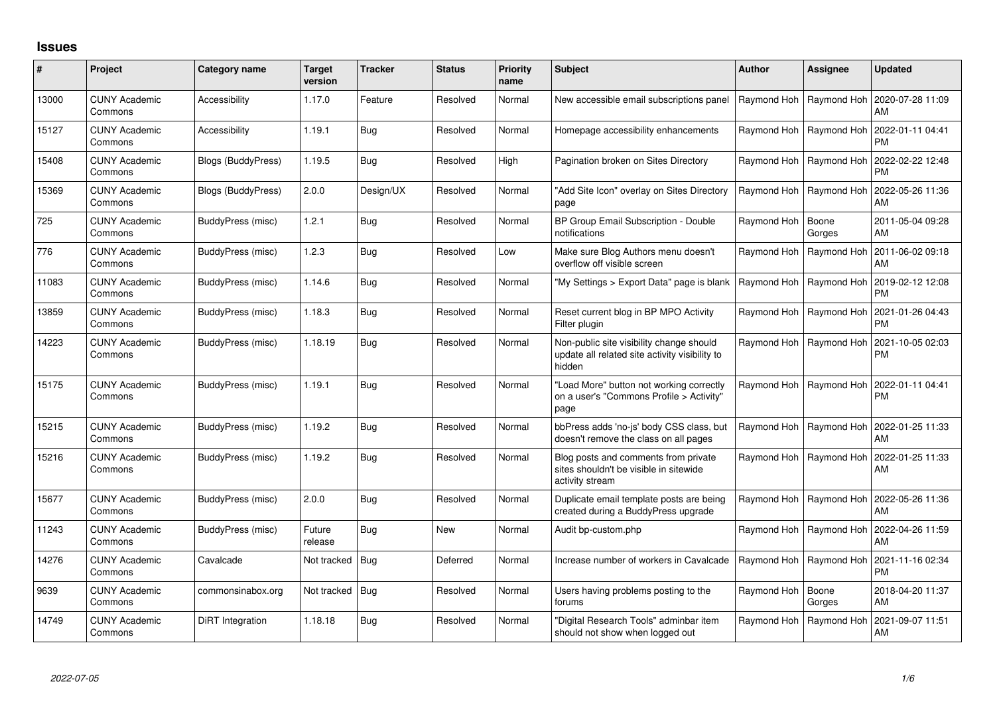## **Issues**

| #     | <b>Project</b>                  | Category name             | <b>Target</b><br>version | <b>Tracker</b> | <b>Status</b> | <b>Priority</b><br>name | Subject                                                                                              | <b>Author</b> | Assignee                  | <b>Updated</b>                |
|-------|---------------------------------|---------------------------|--------------------------|----------------|---------------|-------------------------|------------------------------------------------------------------------------------------------------|---------------|---------------------------|-------------------------------|
| 13000 | <b>CUNY Academic</b><br>Commons | Accessibility             | 1.17.0                   | Feature        | Resolved      | Normal                  | New accessible email subscriptions panel                                                             |               | Raymond Hoh   Raymond Hoh | 2020-07-28 11:09<br>AM        |
| 15127 | <b>CUNY Academic</b><br>Commons | Accessibility             | 1.19.1                   | <b>Bug</b>     | Resolved      | Normal                  | Homepage accessibility enhancements                                                                  |               | Raymond Hoh   Raymond Hoh | 2022-01-11 04:41<br><b>PM</b> |
| 15408 | <b>CUNY Academic</b><br>Commons | <b>Blogs (BuddyPress)</b> | 1.19.5                   | <b>Bug</b>     | Resolved      | High                    | Pagination broken on Sites Directory                                                                 |               | Raymond Hoh   Raymond Hoh | 2022-02-22 12:48<br><b>PM</b> |
| 15369 | <b>CUNY Academic</b><br>Commons | <b>Blogs (BuddyPress)</b> | 2.0.0                    | Design/UX      | Resolved      | Normal                  | "Add Site Icon" overlay on Sites Directory<br>page                                                   |               | Raymond Hoh   Raymond Hoh | 2022-05-26 11:36<br>AM        |
| 725   | <b>CUNY Academic</b><br>Commons | BuddyPress (misc)         | 1.2.1                    | Bug            | Resolved      | Normal                  | BP Group Email Subscription - Double<br>notifications                                                | Raymond Hoh   | Boone<br>Gorges           | 2011-05-04 09:28<br>AM        |
| 776   | <b>CUNY Academic</b><br>Commons | BuddyPress (misc)         | 1.2.3                    | Bug            | Resolved      | Low                     | Make sure Blog Authors menu doesn't<br>overflow off visible screen                                   |               | Raymond Hoh   Raymond Hoh | 2011-06-02 09:18<br>AM        |
| 11083 | <b>CUNY Academic</b><br>Commons | BuddyPress (misc)         | 1.14.6                   | Bug            | Resolved      | Normal                  | "My Settings > Export Data" page is blank                                                            |               | Raymond Hoh   Raymond Hoh | 2019-02-12 12:08<br><b>PM</b> |
| 13859 | <b>CUNY Academic</b><br>Commons | BuddyPress (misc)         | 1.18.3                   | <b>Bug</b>     | Resolved      | Normal                  | Reset current blog in BP MPO Activity<br>Filter plugin                                               |               | Raymond Hoh   Raymond Hoh | 2021-01-26 04:43<br><b>PM</b> |
| 14223 | <b>CUNY Academic</b><br>Commons | BuddyPress (misc)         | 1.18.19                  | <b>Bug</b>     | Resolved      | Normal                  | Non-public site visibility change should<br>update all related site activity visibility to<br>hidden |               | Raymond Hoh   Raymond Hoh | 2021-10-05 02:03<br><b>PM</b> |
| 15175 | <b>CUNY Academic</b><br>Commons | BuddyPress (misc)         | 1.19.1                   | <b>Bug</b>     | Resolved      | Normal                  | "Load More" button not working correctly<br>on a user's "Commons Profile > Activity"<br>page         |               | Raymond Hoh   Raymond Hoh | 2022-01-11 04:41<br><b>PM</b> |
| 15215 | <b>CUNY Academic</b><br>Commons | BuddyPress (misc)         | 1.19.2                   | <b>Bug</b>     | Resolved      | Normal                  | bbPress adds 'no-js' body CSS class, but<br>doesn't remove the class on all pages                    | Raymond Hoh   | Raymond Hoh               | 2022-01-25 11:33<br>AM        |
| 15216 | <b>CUNY Academic</b><br>Commons | BuddyPress (misc)         | 1.19.2                   | Bug            | Resolved      | Normal                  | Blog posts and comments from private<br>sites shouldn't be visible in sitewide<br>activity stream    |               | Raymond Hoh   Raymond Hoh | 2022-01-25 11:33<br>AM        |
| 15677 | <b>CUNY Academic</b><br>Commons | BuddyPress (misc)         | 2.0.0                    | Bug            | Resolved      | Normal                  | Duplicate email template posts are being<br>created during a BuddyPress upgrade                      |               | Raymond Hoh   Raymond Hoh | 2022-05-26 11:36<br>AM        |
| 11243 | <b>CUNY Academic</b><br>Commons | BuddyPress (misc)         | Future<br>release        | <b>Bug</b>     | <b>New</b>    | Normal                  | Audit bp-custom.php                                                                                  |               | Raymond Hoh   Raymond Hoh | 2022-04-26 11:59<br>AM        |
| 14276 | <b>CUNY Academic</b><br>Commons | Cavalcade                 | Not tracked              | Bug            | Deferred      | Normal                  | Increase number of workers in Cavalcade                                                              |               | Raymond Hoh   Raymond Hoh | 2021-11-16 02:34<br><b>PM</b> |
| 9639  | <b>CUNY Academic</b><br>Commons | commonsinabox.org         | Not tracked   Bug        |                | Resolved      | Normal                  | Users having problems posting to the<br>forums                                                       | Raymond Hoh   | Boone<br>Gorges           | 2018-04-20 11:37<br>AM        |
| 14749 | <b>CUNY Academic</b><br>Commons | DiRT Integration          | 1.18.18                  | <b>Bug</b>     | Resolved      | Normal                  | "Digital Research Tools" adminbar item<br>should not show when logged out                            | Raymond Hoh   | Raymond Hoh               | 2021-09-07 11:51<br>AM        |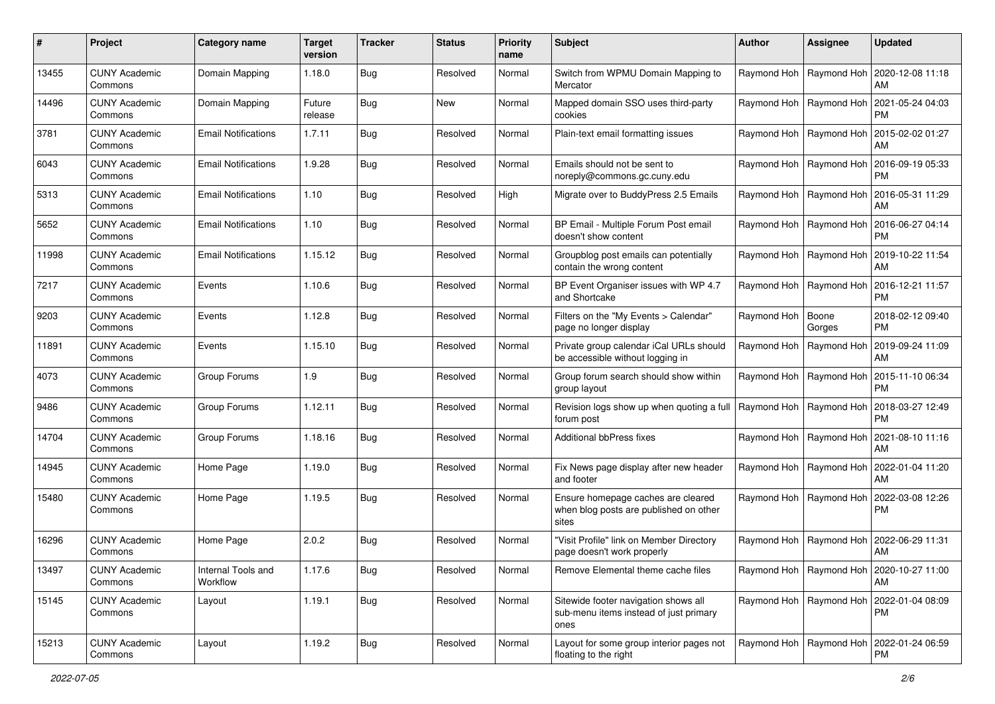| #     | Project                         | <b>Category name</b>           | <b>Target</b><br>version | <b>Tracker</b> | <b>Status</b> | Priority<br>name | <b>Subject</b>                                                                         | <b>Author</b>             | Assignee        | <b>Updated</b>                                     |
|-------|---------------------------------|--------------------------------|--------------------------|----------------|---------------|------------------|----------------------------------------------------------------------------------------|---------------------------|-----------------|----------------------------------------------------|
| 13455 | <b>CUNY Academic</b><br>Commons | Domain Mapping                 | 1.18.0                   | <b>Bug</b>     | Resolved      | Normal           | Switch from WPMU Domain Mapping to<br>Mercator                                         | Raymond Hoh               | Raymond Hoh     | 2020-12-08 11:18<br>AM                             |
| 14496 | <b>CUNY Academic</b><br>Commons | Domain Mapping                 | Future<br>release        | <b>Bug</b>     | New           | Normal           | Mapped domain SSO uses third-party<br>cookies                                          | Raymond Hoh               | Raymond Hoh     | 2021-05-24 04:03<br><b>PM</b>                      |
| 3781  | <b>CUNY Academic</b><br>Commons | <b>Email Notifications</b>     | 1.7.11                   | <b>Bug</b>     | Resolved      | Normal           | Plain-text email formatting issues                                                     | Raymond Hoh               | Raymond Hoh     | 2015-02-02 01:27<br>AM                             |
| 6043  | <b>CUNY Academic</b><br>Commons | <b>Email Notifications</b>     | 1.9.28                   | <b>Bug</b>     | Resolved      | Normal           | Emails should not be sent to<br>noreply@commons.gc.cuny.edu                            | Raymond Hoh               | Raymond Hoh     | 2016-09-19 05:33<br>PM                             |
| 5313  | <b>CUNY Academic</b><br>Commons | <b>Email Notifications</b>     | 1.10                     | <b>Bug</b>     | Resolved      | High             | Migrate over to BuddyPress 2.5 Emails                                                  | Raymond Hoh   Raymond Hoh |                 | 2016-05-31 11:29<br>AM                             |
| 5652  | <b>CUNY Academic</b><br>Commons | <b>Email Notifications</b>     | 1.10                     | <b>Bug</b>     | Resolved      | Normal           | BP Email - Multiple Forum Post email<br>doesn't show content                           | Raymond Hoh               | Raymond Hoh     | 2016-06-27 04:14<br><b>PM</b>                      |
| 11998 | <b>CUNY Academic</b><br>Commons | <b>Email Notifications</b>     | 1.15.12                  | Bug            | Resolved      | Normal           | Groupblog post emails can potentially<br>contain the wrong content                     | Raymond Hoh   Raymond Hoh |                 | 2019-10-22 11:54<br>AM                             |
| 7217  | <b>CUNY Academic</b><br>Commons | Events                         | 1.10.6                   | <b>Bug</b>     | Resolved      | Normal           | BP Event Organiser issues with WP 4.7<br>and Shortcake                                 | Raymond Hoh   Raymond Hoh |                 | 2016-12-21 11:57<br>PM.                            |
| 9203  | <b>CUNY Academic</b><br>Commons | Events                         | 1.12.8                   | <b>Bug</b>     | Resolved      | Normal           | Filters on the "My Events > Calendar"<br>page no longer display                        | Raymond Hoh               | Boone<br>Gorges | 2018-02-12 09:40<br><b>PM</b>                      |
| 11891 | <b>CUNY Academic</b><br>Commons | Events                         | 1.15.10                  | <b>Bug</b>     | Resolved      | Normal           | Private group calendar iCal URLs should<br>be accessible without logging in            | Raymond Hoh               | Raymond Hoh     | 2019-09-24 11:09<br>AM                             |
| 4073  | <b>CUNY Academic</b><br>Commons | Group Forums                   | 1.9                      | <b>Bug</b>     | Resolved      | Normal           | Group forum search should show within<br>group layout                                  | Raymond Hoh               | Raymond Hoh     | 2015-11-10 06:34<br>PM                             |
| 9486  | <b>CUNY Academic</b><br>Commons | Group Forums                   | 1.12.11                  | <b>Bug</b>     | Resolved      | Normal           | Revision logs show up when quoting a full<br>forum post                                | Raymond Hoh   Raymond Hoh |                 | 2018-03-27 12:49<br><b>PM</b>                      |
| 14704 | <b>CUNY Academic</b><br>Commons | Group Forums                   | 1.18.16                  | <b>Bug</b>     | Resolved      | Normal           | Additional bbPress fixes                                                               | Raymond Hoh   Raymond Hoh |                 | 2021-08-10 11:16<br>AM                             |
| 14945 | <b>CUNY Academic</b><br>Commons | Home Page                      | 1.19.0                   | Bug            | Resolved      | Normal           | Fix News page display after new header<br>and footer                                   | Raymond Hoh   Raymond Hoh |                 | 2022-01-04 11:20<br>AM                             |
| 15480 | <b>CUNY Academic</b><br>Commons | Home Page                      | 1.19.5                   | <b>Bug</b>     | Resolved      | Normal           | Ensure homepage caches are cleared<br>when blog posts are published on other<br>sites  | Raymond Hoh               | Raymond Hoh     | 2022-03-08 12:26<br>PM                             |
| 16296 | <b>CUNY Academic</b><br>Commons | Home Page                      | 2.0.2                    | <b>Bug</b>     | Resolved      | Normal           | "Visit Profile" link on Member Directory<br>page doesn't work properly                 | Raymond Hoh               | Raymond Hoh     | 2022-06-29 11:31<br>AM                             |
| 13497 | <b>CUNY Academic</b><br>Commons | Internal Tools and<br>Workflow | 1.17.6                   | Bug            | Resolved      | Normal           | Remove Elemental theme cache files                                                     |                           |                 | Raymond Hoh   Raymond Hoh   2020-10-27 11:00<br>AM |
| 15145 | <b>CUNY Academic</b><br>Commons | Layout                         | 1.19.1                   | Bug            | Resolved      | Normal           | Sitewide footer navigation shows all<br>sub-menu items instead of just primary<br>ones | Raymond Hoh   Raymond Hoh |                 | 2022-01-04 08:09<br>PM                             |
| 15213 | <b>CUNY Academic</b><br>Commons | Layout                         | 1.19.2                   | I Bug          | Resolved      | Normal           | Layout for some group interior pages not<br>floating to the right                      | Raymond Hoh   Raymond Hoh |                 | 2022-01-24 06:59<br>PM                             |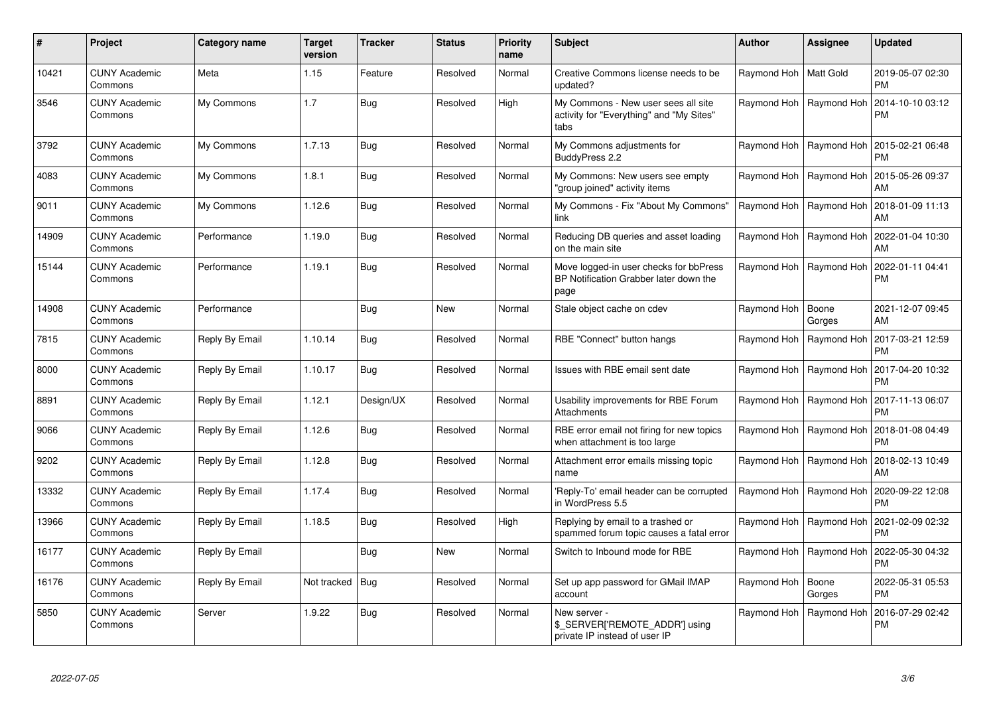| $\#$  | Project                         | Category name  | <b>Target</b><br>version | <b>Tracker</b> | <b>Status</b> | <b>Priority</b><br>name | <b>Subject</b>                                                                           | <b>Author</b>           | Assignee                  | Updated                       |
|-------|---------------------------------|----------------|--------------------------|----------------|---------------|-------------------------|------------------------------------------------------------------------------------------|-------------------------|---------------------------|-------------------------------|
| 10421 | <b>CUNY Academic</b><br>Commons | Meta           | 1.15                     | Feature        | Resolved      | Normal                  | Creative Commons license needs to be<br>updated?                                         | Raymond Hoh   Matt Gold |                           | 2019-05-07 02:30<br><b>PM</b> |
| 3546  | <b>CUNY Academic</b><br>Commons | My Commons     | 1.7                      | <b>Bug</b>     | Resolved      | High                    | My Commons - New user sees all site<br>activity for "Everything" and "My Sites"<br>tabs  |                         | Raymond Hoh   Raymond Hoh | 2014-10-10 03:12<br>PM        |
| 3792  | <b>CUNY Academic</b><br>Commons | My Commons     | 1.7.13                   | Bug            | Resolved      | Normal                  | My Commons adjustments for<br>BuddyPress 2.2                                             |                         | Raymond Hoh   Raymond Hoh | 2015-02-21 06:48<br>РM        |
| 4083  | <b>CUNY Academic</b><br>Commons | My Commons     | 1.8.1                    | Bug            | Resolved      | Normal                  | My Commons: New users see empty<br>'group joined" activity items                         |                         | Raymond Hoh   Raymond Hoh | 2015-05-26 09:37<br>AM        |
| 9011  | <b>CUNY Academic</b><br>Commons | My Commons     | 1.12.6                   | Bug            | Resolved      | Normal                  | My Commons - Fix "About My Commons"<br>link                                              |                         | Raymond Hoh   Raymond Hoh | 2018-01-09 11:13<br>AM        |
| 14909 | <b>CUNY Academic</b><br>Commons | Performance    | 1.19.0                   | Bug            | Resolved      | Normal                  | Reducing DB queries and asset loading<br>on the main site                                |                         | Raymond Hoh   Raymond Hoh | 2022-01-04 10:30<br>AM        |
| 15144 | <b>CUNY Academic</b><br>Commons | Performance    | 1.19.1                   | <b>Bug</b>     | Resolved      | Normal                  | Move logged-in user checks for bbPress<br>BP Notification Grabber later down the<br>page |                         | Raymond Hoh   Raymond Hoh | 2022-01-11 04:41<br>PM        |
| 14908 | <b>CUNY Academic</b><br>Commons | Performance    |                          | Bug            | New           | Normal                  | Stale object cache on cdev                                                               | Raymond Hoh             | Boone<br>Gorges           | 2021-12-07 09:45<br><b>AM</b> |
| 7815  | <b>CUNY Academic</b><br>Commons | Reply By Email | 1.10.14                  | Bug            | Resolved      | Normal                  | RBE "Connect" button hangs                                                               | Raymond Hoh             | Raymond Hoh               | 2017-03-21 12:59<br>РM        |
| 8000  | <b>CUNY Academic</b><br>Commons | Reply By Email | 1.10.17                  | Bug            | Resolved      | Normal                  | Issues with RBE email sent date                                                          |                         | Raymond Hoh   Raymond Hoh | 2017-04-20 10:32<br>PM        |
| 8891  | <b>CUNY Academic</b><br>Commons | Reply By Email | 1.12.1                   | Design/UX      | Resolved      | Normal                  | Usability improvements for RBE Forum<br>Attachments                                      |                         | Raymond Hoh   Raymond Hoh | 2017-11-13 06:07<br><b>PM</b> |
| 9066  | <b>CUNY Academic</b><br>Commons | Reply By Email | 1.12.6                   | <b>Bug</b>     | Resolved      | Normal                  | RBE error email not firing for new topics<br>when attachment is too large                |                         | Raymond Hoh   Raymond Hoh | 2018-01-08 04:49<br>PM        |
| 9202  | <b>CUNY Academic</b><br>Commons | Reply By Email | 1.12.8                   | <b>Bug</b>     | Resolved      | Normal                  | Attachment error emails missing topic<br>name                                            |                         | Raymond Hoh   Raymond Hoh | 2018-02-13 10:49<br>AM        |
| 13332 | <b>CUNY Academic</b><br>Commons | Reply By Email | 1.17.4                   | Bug            | Resolved      | Normal                  | 'Reply-To' email header can be corrupted<br>in WordPress 5.5                             | Raymond Hoh             | Raymond Hoh               | 2020-09-22 12:08<br>PM        |
| 13966 | <b>CUNY Academic</b><br>Commons | Reply By Email | 1.18.5                   | <b>Bug</b>     | Resolved      | High                    | Replying by email to a trashed or<br>spammed forum topic causes a fatal error            |                         | Raymond Hoh   Raymond Hoh | 2021-02-09 02:32<br><b>PM</b> |
| 16177 | <b>CUNY Academic</b><br>Commons | Reply By Email |                          | Bug            | New           | Normal                  | Switch to Inbound mode for RBE                                                           |                         | Raymond Hoh   Raymond Hoh | 2022-05-30 04:32<br>РM        |
| 16176 | <b>CUNY Academic</b><br>Commons | Reply By Email | Not tracked              | Bug            | Resolved      | Normal                  | Set up app password for GMail IMAP<br>account                                            | Raymond Hoh             | Boone<br>Gorges           | 2022-05-31 05:53<br><b>PM</b> |
| 5850  | <b>CUNY Academic</b><br>Commons | Server         | 1.9.22                   | Bug            | Resolved      | Normal                  | New server -<br>\$_SERVER['REMOTE_ADDR'] using<br>private IP instead of user IP          |                         | Raymond Hoh   Raymond Hoh | 2016-07-29 02:42<br>PM        |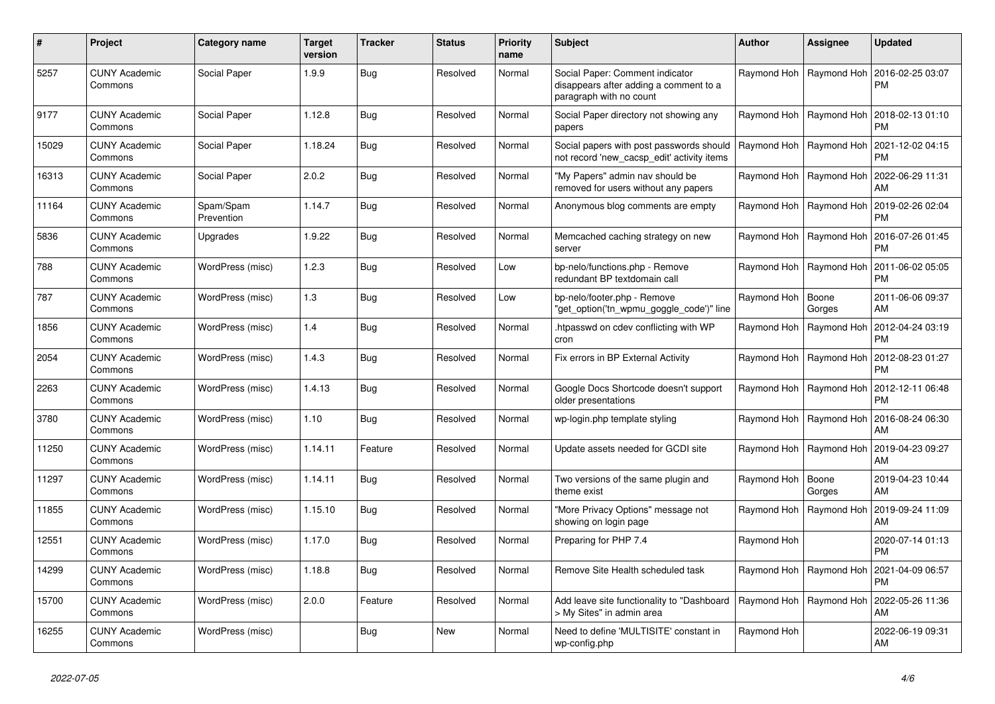| #     | Project                         | Category name           | <b>Target</b><br>version | <b>Tracker</b> | <b>Status</b> | <b>Priority</b><br>name | <b>Subject</b>                                                                                       | <b>Author</b>             | Assignee                  | Updated                       |
|-------|---------------------------------|-------------------------|--------------------------|----------------|---------------|-------------------------|------------------------------------------------------------------------------------------------------|---------------------------|---------------------------|-------------------------------|
| 5257  | <b>CUNY Academic</b><br>Commons | Social Paper            | 1.9.9                    | Bug            | Resolved      | Normal                  | Social Paper: Comment indicator<br>disappears after adding a comment to a<br>paragraph with no count |                           | Raymond Hoh   Raymond Hoh | 2016-02-25 03:07<br>PM        |
| 9177  | <b>CUNY Academic</b><br>Commons | Social Paper            | 1.12.8                   | Bug            | Resolved      | Normal                  | Social Paper directory not showing any<br>papers                                                     | Raymond Hoh               | Raymond Hoh               | 2018-02-13 01:10<br>PM        |
| 15029 | <b>CUNY Academic</b><br>Commons | Social Paper            | 1.18.24                  | Bug            | Resolved      | Normal                  | Social papers with post passwords should<br>not record 'new_cacsp_edit' activity items               | Raymond Hoh   Raymond Hoh |                           | 2021-12-02 04:15<br>PM        |
| 16313 | <b>CUNY Academic</b><br>Commons | Social Paper            | 2.0.2                    | <b>Bug</b>     | Resolved      | Normal                  | "My Papers" admin nav should be<br>removed for users without any papers                              |                           | Raymond Hoh   Raymond Hoh | 2022-06-29 11:31<br>AM        |
| 11164 | <b>CUNY Academic</b><br>Commons | Spam/Spam<br>Prevention | 1.14.7                   | Bug            | Resolved      | Normal                  | Anonymous blog comments are empty                                                                    | Raymond Hoh               | Raymond Hoh               | 2019-02-26 02:04<br><b>PM</b> |
| 5836  | <b>CUNY Academic</b><br>Commons | Upgrades                | 1.9.22                   | Bug            | Resolved      | Normal                  | Memcached caching strategy on new<br>server                                                          |                           | Raymond Hoh   Raymond Hoh | 2016-07-26 01:45<br>РM        |
| 788   | <b>CUNY Academic</b><br>Commons | WordPress (misc)        | 1.2.3                    | <b>Bug</b>     | Resolved      | Low                     | bp-nelo/functions.php - Remove<br>redundant BP textdomain call                                       | Raymond Hoh               | Raymond Hoh               | 2011-06-02 05:05<br><b>PM</b> |
| 787   | <b>CUNY Academic</b><br>Commons | WordPress (misc)        | 1.3                      | Bug            | Resolved      | Low                     | bp-nelo/footer.php - Remove<br>'get_option('tn_wpmu_goggle_code')" line                              | Raymond Hoh               | Boone<br>Gorges           | 2011-06-06 09:37<br>AM        |
| 1856  | <b>CUNY Academic</b><br>Commons | WordPress (misc)        | 1.4                      | Bug            | Resolved      | Normal                  | htpasswd on cdev conflicting with WP<br>cron                                                         | Raymond Hoh               | Raymond Hoh               | 2012-04-24 03:19<br>РM        |
| 2054  | <b>CUNY Academic</b><br>Commons | WordPress (misc)        | 1.4.3                    | Bug            | Resolved      | Normal                  | Fix errors in BP External Activity                                                                   |                           | Raymond Hoh   Raymond Hoh | 2012-08-23 01:27<br>PM        |
| 2263  | <b>CUNY Academic</b><br>Commons | WordPress (misc)        | 1.4.13                   | Bug            | Resolved      | Normal                  | Google Docs Shortcode doesn't support<br>older presentations                                         | Raymond Hoh               | Raymond Hoh               | 2012-12-11 06:48<br><b>PM</b> |
| 3780  | <b>CUNY Academic</b><br>Commons | WordPress (misc)        | 1.10                     | <b>Bug</b>     | Resolved      | Normal                  | wp-login.php template styling                                                                        |                           | Raymond Hoh   Raymond Hoh | 2016-08-24 06:30<br>AM        |
| 11250 | <b>CUNY Academic</b><br>Commons | WordPress (misc)        | 1.14.11                  | Feature        | Resolved      | Normal                  | Update assets needed for GCDI site                                                                   |                           | Raymond Hoh   Raymond Hoh | 2019-04-23 09:27<br>AM        |
| 11297 | <b>CUNY Academic</b><br>Commons | WordPress (misc)        | 1.14.11                  | <b>Bug</b>     | Resolved      | Normal                  | Two versions of the same plugin and<br>theme exist                                                   | Raymond Hoh               | Boone<br>Gorges           | 2019-04-23 10:44<br><b>AM</b> |
| 11855 | <b>CUNY Academic</b><br>Commons | WordPress (misc)        | 1.15.10                  | Bug            | Resolved      | Normal                  | "More Privacy Options" message not<br>showing on login page                                          |                           | Raymond Hoh   Raymond Hoh | 2019-09-24 11:09<br>AM        |
| 12551 | <b>CUNY Academic</b><br>Commons | WordPress (misc)        | 1.17.0                   | Bug            | Resolved      | Normal                  | Preparing for PHP 7.4                                                                                | Raymond Hoh               |                           | 2020-07-14 01:13<br>РM        |
| 14299 | <b>CUNY Academic</b><br>Commons | WordPress (misc)        | 1.18.8                   | <b>Bug</b>     | Resolved      | Normal                  | Remove Site Health scheduled task                                                                    | Raymond Hoh               | Raymond Hoh               | 2021-04-09 06:57<br>PM        |
| 15700 | <b>CUNY Academic</b><br>Commons | WordPress (misc)        | 2.0.0                    | Feature        | Resolved      | Normal                  | Add leave site functionality to "Dashboard<br>> My Sites" in admin area                              | Raymond Hoh   Raymond Hoh |                           | 2022-05-26 11:36<br>AM        |
| 16255 | <b>CUNY Academic</b><br>Commons | WordPress (misc)        |                          | Bug            | New           | Normal                  | Need to define 'MULTISITE' constant in<br>wp-config.php                                              | Raymond Hoh               |                           | 2022-06-19 09:31<br>AM        |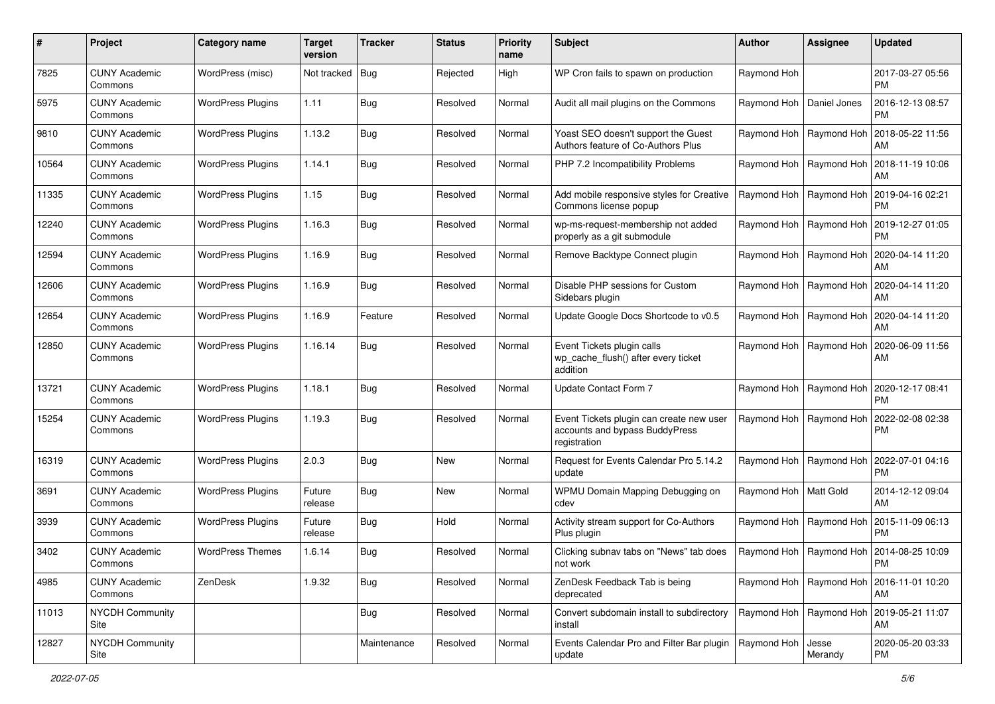| #     | Project                         | <b>Category name</b>     | <b>Target</b><br>version | <b>Tracker</b> | <b>Status</b> | <b>Priority</b><br>name | <b>Subject</b>                                                                             | <b>Author</b>              | <b>Assignee</b>           | <b>Updated</b>                                     |
|-------|---------------------------------|--------------------------|--------------------------|----------------|---------------|-------------------------|--------------------------------------------------------------------------------------------|----------------------------|---------------------------|----------------------------------------------------|
| 7825  | <b>CUNY Academic</b><br>Commons | WordPress (misc)         | Not tracked   Bug        |                | Rejected      | High                    | WP Cron fails to spawn on production                                                       | Raymond Hoh                |                           | 2017-03-27 05:56<br><b>PM</b>                      |
| 5975  | <b>CUNY Academic</b><br>Commons | <b>WordPress Plugins</b> | 1.11                     | Bug            | Resolved      | Normal                  | Audit all mail plugins on the Commons                                                      | Raymond Hoh   Daniel Jones |                           | 2016-12-13 08:57<br><b>PM</b>                      |
| 9810  | <b>CUNY Academic</b><br>Commons | <b>WordPress Plugins</b> | 1.13.2                   | <b>Bug</b>     | Resolved      | Normal                  | Yoast SEO doesn't support the Guest<br>Authors feature of Co-Authors Plus                  | Raymond Hoh   Raymond Hoh  |                           | 2018-05-22 11:56<br>AM                             |
| 10564 | <b>CUNY Academic</b><br>Commons | <b>WordPress Plugins</b> | 1.14.1                   | <b>Bug</b>     | Resolved      | Normal                  | PHP 7.2 Incompatibility Problems                                                           | Raymond Hoh   Raymond Hoh  |                           | 2018-11-19 10:06<br>AM                             |
| 11335 | <b>CUNY Academic</b><br>Commons | <b>WordPress Plugins</b> | 1.15                     | Bug            | Resolved      | Normal                  | Add mobile responsive styles for Creative<br>Commons license popup                         | Raymond Hoh   Raymond Hoh  |                           | 2019-04-16 02:21<br><b>PM</b>                      |
| 12240 | <b>CUNY Academic</b><br>Commons | <b>WordPress Plugins</b> | 1.16.3                   | <b>Bug</b>     | Resolved      | Normal                  | wp-ms-request-membership not added<br>properly as a git submodule                          |                            | Raymond Hoh   Raymond Hoh | 2019-12-27 01:05<br><b>PM</b>                      |
| 12594 | <b>CUNY Academic</b><br>Commons | <b>WordPress Plugins</b> | 1.16.9                   | Bug            | Resolved      | Normal                  | Remove Backtype Connect plugin                                                             |                            | Raymond Hoh   Raymond Hoh | 2020-04-14 11:20<br>AM                             |
| 12606 | <b>CUNY Academic</b><br>Commons | <b>WordPress Plugins</b> | 1.16.9                   | <b>Bug</b>     | Resolved      | Normal                  | Disable PHP sessions for Custom<br>Sidebars plugin                                         |                            | Raymond Hoh   Raymond Hoh | 2020-04-14 11:20<br>AM                             |
| 12654 | <b>CUNY Academic</b><br>Commons | <b>WordPress Plugins</b> | 1.16.9                   | Feature        | Resolved      | Normal                  | Update Google Docs Shortcode to v0.5                                                       |                            | Raymond Hoh   Raymond Hoh | 2020-04-14 11:20<br>AM                             |
| 12850 | <b>CUNY Academic</b><br>Commons | <b>WordPress Plugins</b> | 1.16.14                  | <b>Bug</b>     | Resolved      | Normal                  | Event Tickets plugin calls<br>wp_cache_flush() after every ticket<br>addition              |                            | Raymond Hoh   Raymond Hoh | 2020-06-09 11:56<br>AM                             |
| 13721 | <b>CUNY Academic</b><br>Commons | <b>WordPress Plugins</b> | 1.18.1                   | <b>Bug</b>     | Resolved      | Normal                  | Update Contact Form 7                                                                      |                            | Raymond Hoh   Raymond Hoh | 2020-12-17 08:41<br><b>PM</b>                      |
| 15254 | <b>CUNY Academic</b><br>Commons | <b>WordPress Plugins</b> | 1.19.3                   | <b>Bug</b>     | Resolved      | Normal                  | Event Tickets plugin can create new user<br>accounts and bypass BuddyPress<br>registration |                            | Raymond Hoh   Raymond Hoh | 2022-02-08 02:38<br><b>PM</b>                      |
| 16319 | <b>CUNY Academic</b><br>Commons | <b>WordPress Plugins</b> | 2.0.3                    | <b>Bug</b>     | New           | Normal                  | Request for Events Calendar Pro 5.14.2<br>update                                           | Raymond Hoh   Raymond Hoh  |                           | 2022-07-01 04:16<br><b>PM</b>                      |
| 3691  | <b>CUNY Academic</b><br>Commons | <b>WordPress Plugins</b> | Future<br>release        | <b>Bug</b>     | <b>New</b>    | Normal                  | WPMU Domain Mapping Debugging on<br>cdev                                                   | Raymond Hoh   Matt Gold    |                           | 2014-12-12 09:04<br>AM                             |
| 3939  | <b>CUNY Academic</b><br>Commons | <b>WordPress Plugins</b> | Future<br>release        | <b>Bug</b>     | Hold          | Normal                  | Activity stream support for Co-Authors<br>Plus plugin                                      |                            | Raymond Hoh   Raymond Hoh | 2015-11-09 06:13<br><b>PM</b>                      |
| 3402  | <b>CUNY Academic</b><br>Commons | <b>WordPress Themes</b>  | 1.6.14                   | Bug            | Resolved      | Normal                  | Clicking subnav tabs on "News" tab does<br>not work                                        |                            |                           | Raymond Hoh   Raymond Hoh   2014-08-25 10:09<br>PM |
| 4985  | <b>CUNY Academic</b><br>Commons | ZenDesk                  | 1.9.32                   | Bug            | Resolved      | Normal                  | ZenDesk Feedback Tab is being<br>deprecated                                                |                            | Raymond Hoh   Raymond Hoh | 2016-11-01 10:20<br>AM                             |
| 11013 | <b>NYCDH Community</b><br>Site  |                          |                          | <b>Bug</b>     | Resolved      | Normal                  | Convert subdomain install to subdirectory<br>install                                       | Raymond Hoh   Raymond Hoh  |                           | 2019-05-21 11:07<br>AM                             |
| 12827 | NYCDH Community<br>Site         |                          |                          | Maintenance    | Resolved      | Normal                  | Events Calendar Pro and Filter Bar plugin<br>update                                        | Raymond Hoh                | Jesse<br>Merandy          | 2020-05-20 03:33<br><b>PM</b>                      |